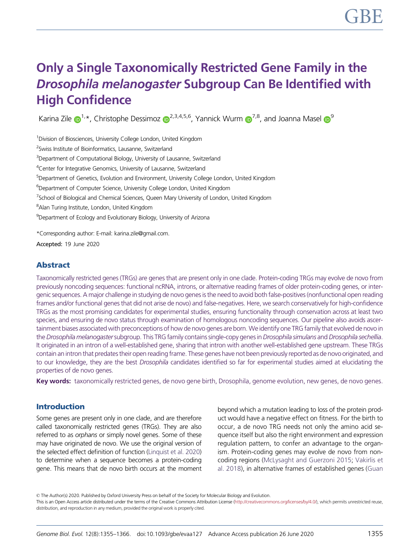# Only a Single Taxonomically Restricted Gene Family in the Drosophila melanogaster Subgroup Can Be Identified with High Confidence

Karina Zile  $\mathbf{D}^{1, \star}$ , Christophe Dessimoz  $\mathbf{D}^{2,3,4,5,6}$  $\mathbf{D}^{2,3,4,5,6}$  $\mathbf{D}^{2,3,4,5,6}$ , Yannick Wurm  $\mathbf{D}^{7,8}$ , and Joanna Masel  $\mathbf{D}^{9}$ 

<sup>1</sup>Division of Biosciences, University College London, United Kingdom <sup>2</sup> Swiss Institute of Bioinformatics, Lausanne, Switzerland <sup>3</sup>Department of Computational Biology, University of Lausanne, Switzerland <sup>4</sup>Center for Integrative Genomics, University of Lausanne, Switzerland <sup>5</sup>Department of Genetics, Evolution and Environment, University College London, United Kingdom <sup>6</sup>Department of Computer Science, University College London, United Kingdom <sup>7</sup>School of Biological and Chemical Sciences, Queen Mary University of London, United Kingdom <sup>8</sup>Alan Turing Institute, London, United Kingdom <sup>9</sup>Department of Ecology and Evolutionary Biology, University of Arizona

\*Corresponding author: E-mail: karina.zile@gmail.com. Accepted: 19 June 2020

## Abstract

Taxonomically restricted genes (TRGs) are genes that are present only in one clade. Protein-coding TRGs may evolve de novo from previously noncoding sequences: functional ncRNA, introns, or alternative reading frames of older protein-coding genes, or intergenic sequences. A major challenge in studying de novo genes is the need to avoid both false-positives (nonfunctional open reading frames and/or functional genes that did not arise de novo) and false-negatives. Here, we search conservatively for high-confidence TRGs as the most promising candidates for experimental studies, ensuring functionality through conservation across at least two species, and ensuring de novo status through examination of homologous noncoding sequences. Our pipeline also avoids ascertainment biases associated with preconceptions of how de novo genes are born. We identify one TRG family that evolved de novo in the Drosophila melanogaster subgroup. This TRG family contains single-copy genes in Drosophila simulans and Drosophila sechellia. It originated in an intron of a well-established gene, sharing that intron with another well-established gene upstream. These TRGs contain an intron that predates their open reading frame. These genes have not been previously reported as de novo originated, and to our knowledge, they are the best Drosophila candidates identified so far for experimental studies aimed at elucidating the properties of de novo genes.

Key words: taxonomically restricted genes, de novo gene birth, Drosophila, genome evolution, new genes, de novo genes.

## Introduction

Some genes are present only in one clade, and are therefore called taxonomically restricted genes (TRGs). They are also referred to as orphans or simply novel genes. Some of these may have originated de novo. We use the original version of the selected effect definition of function (Linquist et al. 2020) to determine when a sequence becomes a protein-coding gene. This means that de novo birth occurs at the moment beyond which a mutation leading to loss of the protein product would have a negative effect on fitness. For the birth to occur, a de novo TRG needs not only the amino acid sequence itself but also the right environment and expression regulation pattern, to confer an advantage to the organism. Protein-coding genes may evolve de novo from noncoding regions ([McLysaght and Guerzoni 2015;](#page-11-0) [Vakirlis et](#page-11-0) [al. 2018\)](#page-11-0), in alternative frames of established genes ([Guan](#page-10-0)

© The Author(s) 2020. Published by Oxford University Press on behalf of the Society for Molecular Biology and Evolution.

This is an Open Access article distributed under the terms of the Creative Commons Attribution License ([http://creativecommons.org/licenses/by/4.0/\)](http://creativecommons.org/licenses/by/4.0/), which permits unrestricted reuse, distribution, and reproduction in any medium, provided the original work is properly cited.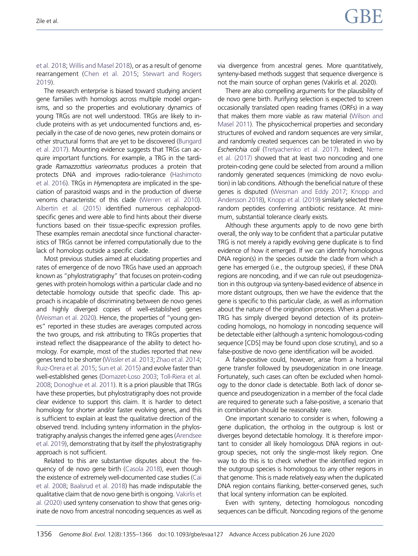[et al. 2018](#page-10-0); [Willis and Masel 2018](#page-11-0)), or as a result of genome rearrangement ([Chen et al. 2015](#page-10-0); [Stewart and Rogers](#page-11-0) [2019\)](#page-11-0).

The research enterprise is biased toward studying ancient gene families with homologs across multiple model organisms, and so the properties and evolutionary dynamics of young TRGs are not well understood. TRGs are likely to include proteins with as yet undocumented functions and, especially in the case of de novo genes, new protein domains or other structural forms that are yet to be discovered [\(Bungard](#page-10-0) [et al. 2017\)](#page-10-0). Mounting evidence suggests that TRGs can acquire important functions. For example, a TRG in the tardigrade Ramazzottius varieornatus produces a protein that protects DNA and improves radio-tolerance [\(Hashimoto](#page-10-0) [et al. 2016\)](#page-10-0). TRGs in *Hymenoptera* are implicated in the speciation of parasitoid wasps and in the production of diverse venoms characteristic of this clade [\(Werren et al. 2010](#page-11-0)). [Albertin et al. \(2015\)](#page-10-0) identified numerous cephalopodspecific genes and were able to find hints about their diverse functions based on their tissue-specific expression profiles. These examples remain anecdotal since functional characteristics of TRGs cannot be inferred computationally due to the lack of homologs outside a specific clade.

Most previous studies aimed at elucidating properties and rates of emergence of de novo TRGs have used an approach known as "phylostratigraphy" that focuses on protein-coding genes with protein homologs within a particular clade and no detectable homology outside that specific clade. This approach is incapable of discriminating between de novo genes and highly diverged copies of well-established genes [\(Weisman et al. 2020](#page-11-0)). Hence, the properties of "young genes" reported in these studies are averages computed across the two groups, and risk attributing to TRGs properties that instead reflect the disappearance of the ability to detect homology. For example, most of the studies reported that new genes tend to be shorter [\(Wissler et al. 2013;](#page-11-0) [Zhao et al. 2014;](#page-11-0) [Ruiz-Orera et al. 2015;](#page-11-0) [Sun et al. 2015](#page-11-0)) and evolve faster than well-established genes [\(Domazet-Loso 2003](#page-10-0); [Toll-Riera et al.](#page-11-0) [2008](#page-11-0); [Donoghue et al. 2011\)](#page-10-0). It is a priori plausible that TRGs have these properties, but phylostratigraphy does not provide clear evidence to support this claim. It is harder to detect homology for shorter and/or faster evolving genes, and this is sufficient to explain at least the qualitative direction of the observed trend. Including synteny information in the phylostratigraphy analysis changes the inferred gene ages [\(Arendsee](#page-10-0) [et al. 2019](#page-10-0)), demonstrating that by itself the phylostratigraphy approach is not sufficient.

Related to this are substantive disputes about the frequency of de novo gene birth ([Casola 2018](#page-10-0)), even though the existence of extremely well-documented case studies ([Cai](#page-10-0) [et al. 2008;](#page-10-0) [Baalsrud et al. 2018\)](#page-10-0) has made indisputable the qualitative claim that de novo gene birth is ongoing. Vakirlis et al. (2020) used synteny conservation to show that genes originate de novo from ancestral noncoding sequences as well as via divergence from ancestral genes. More quantitatively, synteny-based methods suggest that sequence divergence is not the main source of orphan genes (Vakirlis et al. 2020).

There are also compelling arguments for the plausibility of de novo gene birth. Purifying selection is expected to screen occasionally translated open reading frames (ORFs) in a way that makes them more viable as raw material [\(Wilson and](#page-11-0) [Masel 2011](#page-11-0)). The physicochemical properties and secondary structures of evolved and random sequences are very similar, and randomly created sequences can be tolerated in vivo by Escherichia coli [\(Tretyachenko et al. 2017\)](#page-11-0). Indeed, [Neme](#page-11-0) [et al. \(2017\)](#page-11-0) showed that at least two noncoding and one protein-coding gene could be selected from around a million randomly generated sequences (mimicking de novo evolution) in lab conditions. Although the beneficial nature of these genes is disputed ([Weisman and Eddy 2017;](#page-11-0) [Knopp and](#page-11-0) [Andersson 2018\)](#page-11-0), [Knopp et al. \(2019](#page-11-0)) similarly selected three random peptides conferring antibiotic resistance. At minimum, substantial tolerance clearly exists.

Although these arguments apply to de novo gene birth overall, the only way to be confident that a particular putative TRG is not merely a rapidly evolving gene duplicate is to find evidence of how it emerged. If we can identify homologous DNA region(s) in the species outside the clade from which a gene has emerged (i.e., the outgroup species), if these DNA regions are noncoding, and if we can rule out pseudogenization in this outgroup via synteny-based evidence of absence in more distant outgroups, then we have the evidence that the gene is specific to this particular clade, as well as information about the nature of the origination process. When a putative TRG has simply diverged beyond detection of its proteincoding homologs, no homology in noncoding sequence will be detectable either (although a syntenic homologous-coding sequence [CDS] may be found upon close scrutiny), and so a false-positive de novo gene identification will be avoided.

A false-positive could, however, arise from a horizontal gene transfer followed by pseudogenization in one lineage. Fortunately, such cases can often be excluded when homology to the donor clade is detectable. Both lack of donor sequence and pseudogenization in a member of the focal clade are required to generate such a false-positive, a scenario that in combination should be reasonably rare.

One important scenario to consider is when, following a gene duplication, the ortholog in the outgroup is lost or diverges beyond detectable homology. It is therefore important to consider all likely homologous DNA regions in outgroup species, not only the single-most likely region. One way to do this is to check whether the identified region in the outgroup species is homologous to any other regions in that genome. This is made relatively easy when the duplicated DNA region contains flanking, better-conserved genes, such that local synteny information can be exploited.

Even with synteny, detecting homologous noncoding sequences can be difficult. Noncoding regions of the genome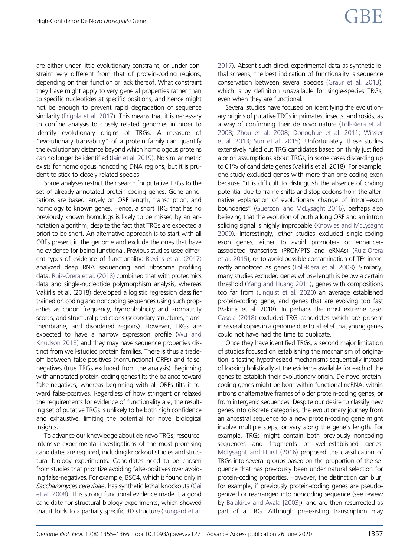are either under little evolutionary constraint, or under constraint very different from that of protein-coding regions, depending on their function or lack thereof. What constraint they have might apply to very general properties rather than to specific nucleotides at specific positions, and hence might not be enough to prevent rapid degradation of sequence similarity ([Frigola et al. 2017\)](#page-10-0). This means that it is necessary to confine analysis to closely related genomes in order to identify evolutionary origins of TRGs. A measure of "evolutionary traceability" of a protein family can quantify the evolutionary distance beyond which homologous proteins can no longer be identified [\(Jain et al. 2019](#page-11-0)). No similar metric exists for homologous noncoding DNA regions, but it is prudent to stick to closely related species.

Some analyses restrict their search for putative TRGs to the set of already-annotated protein-coding genes. Gene annotations are based largely on ORF length, transcription, and homology to known genes. Hence, a short TRG that has no previously known homologs is likely to be missed by an annotation algorithm, despite the fact that TRGs are expected a priori to be short. An alternative approach is to start with all ORFs present in the genome and exclude the ones that have no evidence for being functional. Previous studies used different types of evidence of functionality: [Blevins et al. \(2017\)](#page-10-0) analyzed deep RNA sequencing and ribosome profiling data, [Ruiz-Orera et al. \(2018\)](#page-11-0) combined that with proteomics data and single-nucleotide polymorphism analysis, whereas Vakirlis et al. (2018) developed a logistic regression classifier trained on coding and noncoding sequences using such properties as codon frequency, hydrophobicity and aromaticity scores, and structural predictions (secondary structures, transmembrane, and disordered regions). However, TRGs are expected to have a narrow expression profile [\(Wu and](#page-11-0) [Knudson 2018](#page-11-0)) and they may have sequence properties distinct from well-studied protein families. There is thus a tradeoff between false-positives (nonfunctional ORFs) and falsenegatives (true TRGs excluded from the analysis). Beginning with annotated protein-coding genes tilts the balance toward false-negatives, whereas beginning with all ORFs tilts it toward false-positives. Regardless of how stringent or relaxed the requirements for evidence of functionality are, the resulting set of putative TRGs is unlikely to be both high confidence and exhaustive, limiting the potential for novel biological insights.

To advance our knowledge about de novo TRGs, resourceintensive experimental investigations of the most promising candidates are required, including knockout studies and structural biology experiments. Candidates need to be chosen from studies that prioritize avoiding false-positives over avoiding false-negatives. For example, BSC4, which is found only in Saccharomyces cerevisiae, has synthetic lethal knockouts ([Cai](#page-10-0) [et al. 2008\)](#page-10-0). This strong functional evidence made it a good candidate for structural biology experiments, which showed that it folds to a partially specific 3D structure ([Bungard et al.](#page-10-0) [2017\)](#page-10-0). Absent such direct experimental data as synthetic lethal screens, the best indication of functionality is sequence conservation between several species ([Graur et al. 2013\)](#page-10-0), which is by definition unavailable for single-species TRGs, even when they are functional.

Several studies have focused on identifying the evolutionary origins of putative TRGs in primates, insects, and rosids, as a way of confirming their de novo nature [\(Toll-Riera et al.](#page-11-0) [2008;](#page-11-0) [Zhou et al. 2008](#page-11-0); [Donoghue et al. 2011](#page-10-0); [Wissler](#page-11-0) [et al. 2013](#page-11-0); [Sun et al. 2015\)](#page-11-0). Unfortunately, these studies extensively ruled out TRG candidates based on thinly justified a priori assumptions about TRGs, in some cases discarding up to 61% of candidate genes (Vakirlis et al. 2018). For example, one study excluded genes with more than one coding exon because "it is difficult to distinguish the absence of coding potential due to frame-shifts and stop codons from the alternative explanation of evolutionary change of intron–exon boundaries" ([Guerzoni and McLysaght 2016\)](#page-10-0), perhaps also believing that the evolution of both a long ORF and an intron splicing signal is highly improbable ([Knowles and McLysaght](#page-11-0) [2009\)](#page-11-0). Interestingly, other studies excluded single-coding exon genes, either to avoid promoter- or enhancerassociated transcripts (PROMPTS and eRNAs) [\(Ruiz-Orera](#page-11-0) [et al. 2015\)](#page-11-0), or to avoid possible contamination of TEs incorrectly annotated as genes [\(Toll-Riera et al. 2008](#page-11-0)). Similarly, many studies excluded genes whose length is below a certain threshold ([Yang and Huang 2011\)](#page-11-0), genes with compositions too far from [\(Linquist et al. 2020\)](#page-11-0) an average established protein-coding gene, and genes that are evolving too fast (Vakirlis et al. 2018). In perhaps the most extreme case, [Casola \(2018\)](#page-10-0) excluded TRG candidates which are present in several copies in a genome due to a belief that young genes could not have had the time to duplicate.

Once they have identified TRGs, a second major limitation of studies focused on establishing the mechanism of origination is testing hypothesized mechanisms sequentially instead of looking holistically at the evidence available for each of the genes to establish their evolutionary origin. De novo proteincoding genes might be born within functional ncRNA, within introns or alternative frames of older protein-coding genes, or from intergenic sequences. Despite our desire to classify new genes into discrete categories, the evolutionary journey from an ancestral sequence to a new protein-coding gene might involve multiple steps, or vary along the gene's length. For example, TRGs might contain both previously noncoding sequences and fragments of well-established genes. [McLysaght and Hurst \(2016\)](#page-11-0) proposed the classification of TRGs into several groups based on the proportion of the sequence that has previously been under natural selection for protein-coding properties. However, the distinction can blur, for example, if previously protein-coding genes are pseudogenized or rearranged into noncoding sequence (see review by [Balakirev and Ayala \[2003\]](#page-10-0)), and are then resurrected as part of a TRG. Although pre-existing transcription may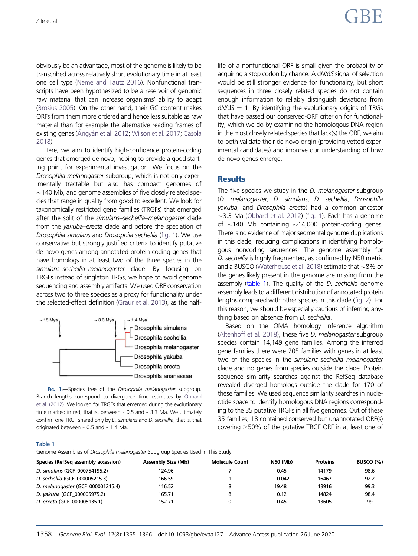<span id="page-3-0"></span>obviously be an advantage, most of the genome is likely to be transcribed across relatively short evolutionary time in at least one cell type [\(Neme and Tautz 2016\)](#page-11-0). Nonfunctional transcripts have been hypothesized to be a reservoir of genomic raw material that can increase organisms' ability to adapt [\(Brosius 2005\)](#page-10-0). On the other hand, their GC content makes ORFs from them more ordered and hence less suitable as raw material than for example the alternative reading frames of existing genes (Ángyán et al. 2012; [Wilson et al. 2017;](#page-11-0) [Casola](#page-10-0) [2018](#page-10-0)).

Here, we aim to identify high-confidence protein-coding genes that emerged de novo, hoping to provide a good starting point for experimental investigation. We focus on the Drosophila melanogaster subgroup, which is not only experimentally tractable but also has compact genomes of  $\sim$ 140 Mb, and genome assemblies of five closely related species that range in quality from good to excellent. We look for taxonomically restricted gene families (TRGFs) that emerged after the split of the simulans–sechellia–melanogaster clade from the yakuba–erecta clade and before the speciation of Drosophila simulans and Drosophila sechellia (fig. 1). We use conservative but strongly justified criteria to identify putative de novo genes among annotated protein-coding genes that have homologs in at least two of the three species in the simulans–sechellia–melanogaster clade. By focusing on TRGFs instead of singleton TRGs, we hope to avoid genome sequencing and assembly artifacts. We used ORF conservation across two to three species as a proxy for functionality under the selected-effect definition [\(Graur et al. 2013\)](#page-10-0), as the half-



FIG. 1.-Species tree of the Drosophila melanogaster subgroup. Branch lengths correspond to divergence time estimates by [Obbard](#page-11-0) [et al. \(2012\).](#page-11-0) We looked for TRGFs that emerged during the evolutionary time marked in red, that is, between  $\sim$ 0.5 and  $\sim$ 3.3 Ma. We ultimately confirm one TRGF shared only by D. simulans and D. sechellia, that is, that originated between  ${\sim}0.5$  and  ${\sim}1.4$  Ma.

life of a nonfunctional ORF is small given the probability of acquiring a stop codon by chance. A dN/dS signal of selection would be still stronger evidence for functionality, but short sequences in three closely related species do not contain enough information to reliably distinguish deviations from  $dN/dS = 1$ . By identifying the evolutionary origins of TRGs that have passed our conserved-ORF criterion for functionality, which we do by examining the homologous DNA region in the most closely related species that lack(s) the ORF, we aim to both validate their de novo origin (providing vetted experimental candidates) and improve our understanding of how de novo genes emerge.

#### **Results**

The five species we study in the *D. melanogaster* subgroup (D. melanogaster, D. simulans, D. sechellia, Drosophila yakuba, and Drosophila erecta) had a common ancestor  $\sim$ 3.3 Ma ([Obbard et al. 2012](#page-11-0)) (fig. 1). Each has a genome of  $\sim$ 140 Mb containing  $\sim$ 14,000 protein-coding genes. There is no evidence of major segmental genome duplications in this clade, reducing complications in identifying homologous noncoding sequences. The genome assembly for D. sechellia is highly fragmented, as confirmed by N50 metric and a BUSCO [\(Waterhouse et al. 2018\)](#page-11-0) estimate that  $\sim$ 8% of the genes likely present in the genome are missing from the assembly (table 1). The quality of the D. sechellia genome assembly leads to a different distribution of annotated protein lengths compared with other species in this clade [\(fig. 2](#page-4-0)). For this reason, we should be especially cautious of inferring anything based on absence from *D. sechellia*.

Based on the OMA homology inference algorithm [\(Altenhoff et al. 2018\)](#page-10-0), these five D. melanogaster subgroup species contain 14,149 gene families. Among the inferred gene families there were 205 families with genes in at least two of the species in the simulans–sechellia–melanogaster clade and no genes from species outside the clade. Protein sequence similarity searches against the RefSeq database revealed diverged homologs outside the clade for 170 of these families. We used sequence similarity searches in nucleotide space to identify homologous DNA regions corresponding to the 35 putative TRGFs in all five genomes. Out of these 35 families, 18 contained conserved but unannotated ORF(s) covering 50% of the putative TRGF ORF in at least one of

#### Table 1

Genome Assemblies of Drosophila melanogaster Subgroup Species Used in This Study

| Species (RefSeq assembly accession) | <b>Assembly Size (Mb)</b> | <b>Molecule Count</b> | <b>N50 (Mb)</b> | <b>Proteins</b> | BUSCO (%) |
|-------------------------------------|---------------------------|-----------------------|-----------------|-----------------|-----------|
| D. simulans (GCF 000754195.2)       | 124.96                    |                       | 0.45            | 14179           | 98.6      |
| D. sechellia (GCF_000005215.3)      | 166.59                    |                       | 0.042           | 16467           | 92.2      |
| D. melanogaster (GCF 000001215.4)   | 116.52                    |                       | 19.48           | 13916           | 99.3      |
| D. yakuba (GCF 000005975.2)         | 165.71                    |                       | 0.12            | 14824           | 98.4      |
| D. erecta (GCF 000005135.1)         | 152.71                    |                       | 0.45            | 13605           | 99        |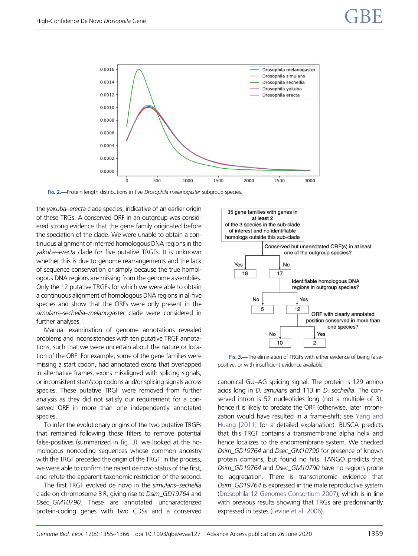<span id="page-4-0"></span>

FIG. 2.—Protein length distributions in five Drosophila melanogaster subgroup species.

the yakuba–erecta clade species, indicative of an earlier origin of these TRGs. A conserved ORF in an outgroup was considered strong evidence that the gene family originated before the speciation of the clade. We were unable to obtain a continuous alignment of inferred homologous DNA regions in the yakuba–erecta clade for five putative TRGFs. It is unknown whether this is due to genome rearrangements and the lack of sequence conservation or simply because the true homologous DNA regions are missing from the genome assemblies. Only the 12 putative TRGFs for which we were able to obtain a continuous alignment of homologous DNA regions in all five species and show that the ORFs were only present in the simulans–sechellia–melanogaster clade were considered in further analyses.

Manual examination of genome annotations revealed problems and inconsistencies with ten putative TRGF annotations, such that we were uncertain about the nature or location of the ORF. For example, some of the gene families were missing a start codon, had annotated exons that overlapped in alternative frames, exons misaligned with splicing signals, or inconsistent start/stop codons and/or splicing signals across species. These putative TRGF were removed from further analysis as they did not satisfy our requirement for a conserved ORF in more than one independently annotated species.

To infer the evolutionary origins of the two putative TRGFs that remained following these filters to remove potential false-positives (summarized in fig. 3), we looked at the homologous noncoding sequences whose common ancestry with the TRGF preceded the origin of the TRGF. In the process, we were able to confirm the recent de novo status of the first, and refute the apparent taxonomic restriction of the second.

The first TRGF evolved de novo in the simulans–sechellia clade on chromosome 3 R, giving rise to Dsim\_GD19764 and Dsec\_GM10790. These are annotated uncharacterized protein-coding genes with two CDSs and a conserved



FIG. 3.—The elimination of TRGFs with either evidence of being falsepositive, or with insufficient evidence available.

canonical GU–AG splicing signal. The protein is 129 amino acids long in D. simulans and 113 in D. sechellia. The conserved intron is 52 nucleotides long (not a multiple of 3), hence it is likely to predate the ORF (otherwise, later intronization would have resulted in a frame-shift; see [Yang and](#page-11-0) [Huang \[2011\]](#page-11-0) for a detailed explanation). BUSCA predicts that this TRGF contains a transmembrane alpha helix and hence localizes to the endomembrane system. We checked Dsim\_GD19764 and Dsec\_GM10790 for presence of known protein domains, but found no hits. TANGO predicts that Dsim\_GD19764 and Dsec\_GM10790 have no regions prone to aggregation. There is transcriptomic evidence that Dsim\_GD19764 is expressed in the male reproductive system [\(Drosophila 12 Genomes Consortium 2007](#page-10-0)), which is in line with previous results showing that TRGs are predominantly expressed in testes [\(Levine et al. 2006](#page-11-0)).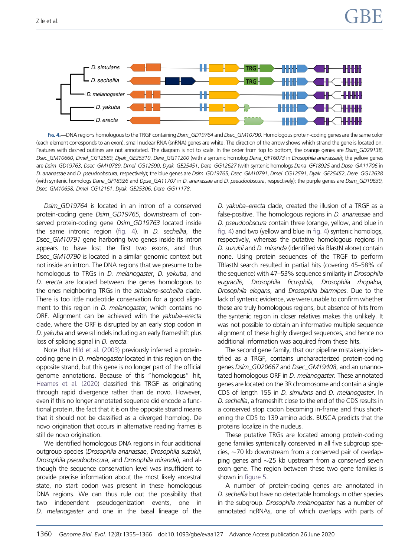

FIG. 4.—DNA regions homologous to the TRGF containing Dsim\_GD19764 and Dsec\_GM10790. Homologous protein-coding genes are the same color (each element corresponds to an exon), small nuclear RNA (snRNA) genes are white. The direction of the arrow shows which strand the gene is located on. Features with dashed outlines are not annotated. The diagram is not to scale. In the order from top to bottom, the orange genes are Dsim\_GD29138, Dsec\_GM10660, Dmel\_CG12589, Dyak\_GE25310, Dere\_GG11200 (with a syntenic homolog Dana\_GF16073 in Drosophila ananassae); the yellow genes are Dsim\_GD19763, Dsec\_GM10789, Dmel\_CG12590, Dyak\_GE25451, Dere\_GG12627 (with syntenic homologs Dana\_GF18925 and Dpse\_GA11706 in D. ananassae and D. pseudoobscura, respectively); the blue genes are Dsim\_GD19765, Dsec\_GM10791, Dmel\_CG12591, Dyak\_GE25452, Dere\_GG12638 (with syntenic homologs Dana\_GF18926 and Dpse\_GA11707 in D. ananassae and D. pseudoobscura, respectively); the purple genes are Dsim\_GD19639, Dsec\_GM10658, Dmel\_CG12161, Dyak\_GE25306, Dere\_GG11178.

Dsim GD19764 is located in an intron of a conserved protein-coding gene Dsim GD19765, downstream of conserved protein-coding gene Dsim\_GD19763 located inside the same intronic region (fig. 4). In D. sechellia, the Dsec\_GM10791 gene harboring two genes inside its intron appears to have lost the first two exons, and thus Dsec\_GM10790 is located in a similar genomic context but not inside an intron. The DNA regions that we presume to be homologous to TRGs in D. melanogaster, D. yakuba, and D. erecta are located between the genes homologous to the ones neighboring TRGs in the simulans–sechellia clade. There is too little nucleotide conservation for a good alignment to this region in *D. melanogaster*, which contains no ORF. Alignment can be achieved with the yakuba–erecta clade, where the ORF is disrupted by an early stop codon in D. yakuba and several indels including an early frameshift plus loss of splicing signal in D. erecta.

Note that [Hild et al. \(2003\)](#page-11-0) previously inferred a proteincoding gene in D. melanogaster located in this region on the opposite strand, but this gene is no longer part of the official genome annotations. Because of this "homologous" hit, [Heames et al. \(2020](#page-10-0)) classified this TRGF as originating through rapid divergence rather than de novo. However, even if this no longer annotated sequence did encode a functional protein, the fact that it is on the opposite strand means that it should not be classified as a diverged homolog. De novo origination that occurs in alternative reading frames is still de novo origination.

We identified homologous DNA regions in four additional outgroup species (Drosophila ananassae, Drosophila suzukii, Drosophila pseudoobscura, and Drosophila miranda), and although the sequence conservation level was insufficient to provide precise information about the most likely ancestral state, no start codon was present in these homologous DNA regions. We can thus rule out the possibility that two independent pseudogenization events, one in D. melanogaster and one in the basal lineage of the D. yakuba–erecta clade, created the illusion of a TRGF as a false-positive. The homologous regions in *D. ananassae* and D. pseudoobscura contain three (orange, yellow, and blue in fig. 4) and two (yellow and blue in fig. 4) syntenic homologs, respectively, whereas the putative homologous regions in D. suzukii and D. miranda (identified via BlastN alone) contain none. Using protein sequences of the TRGF to perform TBlastN search resulted in partial hits (covering 45–58% of the sequence) with 47–53% sequence similarity in Drosophila eugracilis, Drosophila ficusphila, Drosophila rhopaloa, Drosophila elegans, and Drosophila biarmipes. Due to the lack of syntenic evidence, we were unable to confirm whether these are truly homologous regions, but absence of hits from the syntenic region in closer relatives makes this unlikely. It was not possible to obtain an informative multiple sequence alignment of these highly diverged sequences, and hence no additional information was acquired from these hits.

The second gene family, that our pipeline mistakenly identified as a TRGF, contains uncharacterized protein-coding genes Dsim\_GD20667 and Dsec\_GM19408, and an unannotated homologous ORF in D. melanogaster. These annotated genes are located on the 3R chromosome and contain a single CDS of length 155 in D. simulans and D. melanogaster. In D. sechellia, a frameshift close to the end of the CDS results in a conserved stop codon becoming in-frame and thus shortening the CDS to 139 amino acids. BUSCA predicts that the proteins localize in the nucleus.

These putative TRGs are located among protein-coding gene families syntenically conserved in all five subgroup species,  $\sim$ 70 kb downstream from a conserved pair of overlapping genes and  $\sim$ 25 kb upstream from a conserved seven exon gene. The region between these two gene families is shown in [figure 5](#page-6-0).

A number of protein-coding genes are annotated in D. sechellia but have no detectable homologs in other species in the subgroup. Drosophila melanogaster has a number of annotated ncRNAs, one of which overlaps with parts of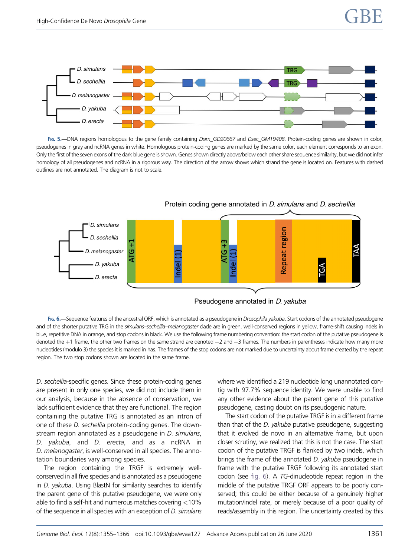<span id="page-6-0"></span>

FIG. 5.—DNA regions homologous to the gene family containing Dsim\_GD20667 and Dsec\_GM19408. Protein-coding genes are shown in color, pseudogenes in gray and ncRNA genes in white. Homologous protein-coding genes are marked by the same color, each element corresponds to an exon. Only the first of the seven exons of the dark blue gene is shown. Genes shown directly above/below each other share sequence similarity, but we did not infer homology of all pseudogenes and ncRNA in a rigorous way. The direction of the arrow shows which strand the gene is located on. Features with dashed outlines are not annotated. The diagram is not to scale.







FIG. 6.—Sequence features of the ancestral ORF, which is annotated as a pseudogene in Drosophila yakuba. Start codons of the annotated pseudogene and of the shorter putative TRG in the simulans–sechellia–melanogaster clade are in green, well-conserved regions in yellow, frame-shift causing indels in blue, repetitive DNA in orange, and stop codons in black. We use the following frame numbering convention: the start codon of the putative pseudogene is denoted the  $+1$  frame, the other two frames on the same strand are denoted  $+2$  and  $+3$  frames. The numbers in parentheses indicate how many more nucleotides (modulo 3) the species it is marked in has. The frames of the stop codons are not marked due to uncertainty about frame created by the repeat region. The two stop codons shown are located in the same frame.

D. sechellia-specific genes. Since these protein-coding genes are present in only one species, we did not include them in our analysis, because in the absence of conservation, we lack sufficient evidence that they are functional. The region containing the putative TRG is annotated as an intron of one of these D. sechellia protein-coding genes. The downstream region annotated as a pseudogene in *D. simulans*, D. yakuba, and D. erecta, and as a ncRNA in D. melanogaster, is well-conserved in all species. The annotation boundaries vary among species.

The region containing the TRGF is extremely wellconserved in all five species and is annotated as a pseudogene in D. yakuba. Using BlastN for similarity searches to identify the parent gene of this putative pseudogene, we were only able to find a self-hit and numerous matches covering <10% of the sequence in all species with an exception of D. simulans where we identified a 219 nucleotide long unannotated contig with 97.7% sequence identity. We were unable to find any other evidence about the parent gene of this putative pseudogene, casting doubt on its pseudogenic nature.

The start codon of the putative TRGF is in a different frame than that of the D. yakuba putative pseudogene, suggesting that it evolved de novo in an alternative frame, but upon closer scrutiny, we realized that this is not the case. The start codon of the putative TRGF is flanked by two indels, which brings the frame of the annotated D. yakuba pseudogene in frame with the putative TRGF following its annotated start codon (see fig. 6). A TG-dinucleotide repeat region in the middle of the putative TRGF ORF appears to be poorly conserved; this could be either because of a genuinely higher mutation/indel rate, or merely because of a poor quality of reads/assembly in this region. The uncertainty created by this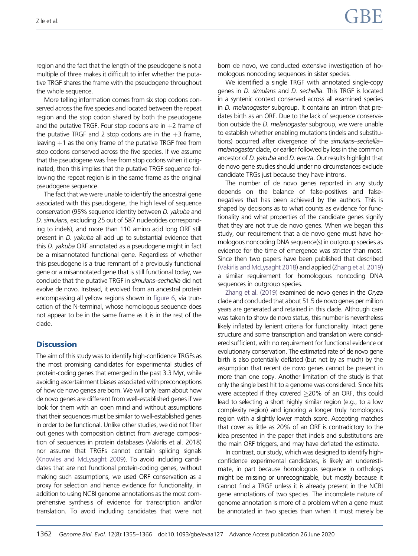region and the fact that the length of the pseudogene is not a multiple of three makes it difficult to infer whether the putative TRGF shares the frame with the pseudogene throughout the whole sequence.

More telling information comes from six stop codons conserved across the five species and located between the repeat region and the stop codon shared by both the pseudogene and the putative TRGF. Four stop codons are in  $+2$  frame of the putative TRGF and 2 stop codons are in the  $+3$  frame, leaving  $+1$  as the only frame of the putative TRGF free from stop codons conserved across the five species. If we assume that the pseudogene was free from stop codons when it originated, then this implies that the putative TRGF sequence following the repeat region is in the same frame as the original pseudogene sequence.

The fact that we were unable to identify the ancestral gene associated with this pseudogene, the high level of sequence conservation (95% sequence identity between D. yakuba and D. simulans, excluding 25 out of 587 nucleotides corresponding to indels), and more than 110 amino acid long ORF still present in D. yakuba all add up to substantial evidence that this D. yakuba ORF annotated as a pseudogene might in fact be a misannotated functional gene. Regardless of whether this pseudogene is a true remnant of a previously functional gene or a misannotated gene that is still functional today, we conclude that the putative TRGF in simulans–sechellia did not evolve de novo. Instead, it evolved from an ancestral protein encompassing all yellow regions shown in [figure 6](#page-6-0), via truncation of the N-terminal, whose homologous sequence does not appear to be in the same frame as it is in the rest of the clade.

### **Discussion**

The aim of this study was to identify high-confidence TRGFs as the most promising candidates for experimental studies of protein-coding genes that emerged in the past 3.3 Myr, while avoiding ascertainment biases associated with preconceptions of how de novo genes are born. We will only learn about how de novo genes are different from well-established genes if we look for them with an open mind and without assumptions that their sequences must be similar to well-established genes in order to be functional. Unlike other studies, we did not filter out genes with composition distinct from average composition of sequences in protein databases (Vakirlis et al. 2018) nor assume that TRGFs cannot contain splicing signals [\(Knowles and McLysaght 2009](#page-11-0)). To avoid including candidates that are not functional protein-coding genes, without making such assumptions, we used ORF conservation as a proxy for selection and hence evidence for functionality, in addition to using NCBI genome annotations as the most comprehensive synthesis of evidence for transcription and/or translation. To avoid including candidates that were not born de novo, we conducted extensive investigation of homologous noncoding sequences in sister species.

We identified a single TRGF with annotated single-copy genes in D. simulans and D. sechellia. This TRGF is located in a syntenic context conserved across all examined species in D. melanogaster subgroup. It contains an intron that predates birth as an ORF. Due to the lack of sequence conservation outside the *D. melanogaster* subgroup, we were unable to establish whether enabling mutations (indels and substitutions) occurred after divergence of the simulans-sechelliamelanogaster clade, or earlier followed by loss in the common ancestor of D. yakuba and D. erecta. Our results highlight that de novo gene studies should under no circumstances exclude candidate TRGs just because they have introns.

The number of de novo genes reported in any study depends on the balance of false-positives and falsenegatives that has been achieved by the authors. This is shaped by decisions as to what counts as evidence for functionality and what properties of the candidate genes signify that they are not true de novo genes. When we began this study, our requirement that a de novo gene must have homologous noncoding DNA sequence(s) in outgroup species as evidence for the time of emergence was stricter than most. Since then two papers have been published that described [\(Vakirlis and McLysaght 2018](#page-11-0)) and applied [\(Zhang et al. 2019](#page-11-0)) a similar requirement for homologous noncoding DNA sequences in outgroup species.

[Zhang et al. \(2019\)](#page-11-0) examined de novo genes in the Oryza clade and concluded that about 51.5 de novo genes per million years are generated and retained in this clade. Although care was taken to show de novo status, this number is nevertheless likely inflated by lenient criteria for functionality. Intact gene structure and some transcription and translation were considered sufficient, with no requirement for functional evidence or evolutionary conservation. The estimated rate of de novo gene birth is also potentially deflated (but not by as much) by the assumption that recent de novo genes cannot be present in more than one copy. Another limitation of the study is that only the single best hit to a genome was considered. Since hits were accepted if they covered  $\geq$  20% of an ORF, this could lead to selecting a short highly similar region (e.g., to a low complexity region) and ignoring a longer truly homologous region with a slightly lower match score. Accepting matches that cover as little as 20% of an ORF is contradictory to the idea presented in the paper that indels and substitutions are the main ORF triggers, and may have deflated the estimate.

In contrast, our study, which was designed to identify highconfidence experimental candidates, is likely an underestimate, in part because homologous sequence in orthologs might be missing or unrecognizable, but mostly because it cannot find a TRGF unless it is already present in the NCBI gene annotations of two species. The incomplete nature of genome annotation is more of a problem when a gene must be annotated in two species than when it must merely be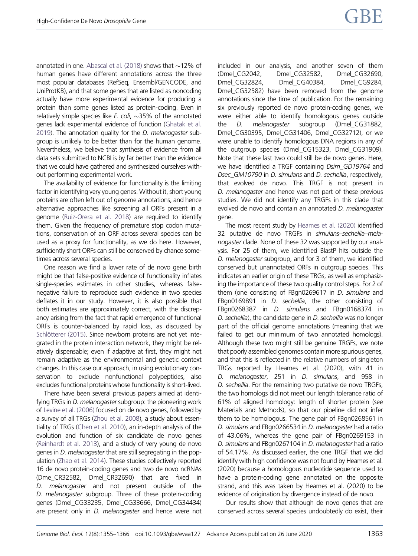annotated in one. [Abascal et al. \(2018\)](#page-10-0) shows that  ${\sim}12\%$  of human genes have different annotations across the three most popular databases (RefSeq, Ensembl/GENCODE, and UniProtKB), and that some genes that are listed as noncoding actually have more experimental evidence for producing a protein than some genes listed as protein-coding. Even in relatively simple species like *E. coli*,  $\sim$ 35% of the annotated genes lack experimental evidence of function ([Ghatak et al.](#page-10-0) [2019](#page-10-0)). The annotation quality for the  $D$ . melanogaster subgroup is unlikely to be better than for the human genome. Nevertheless, we believe that synthesis of evidence from all data sets submitted to NCBI is by far better than the evidence that we could have gathered and synthesized ourselves without performing experimental work.

The availability of evidence for functionality is the limiting factor in identifying very young genes. Without it, short young proteins are often left out of genome annotations, and hence alternative approaches like screening all ORFs present in a genome [\(Ruiz-Orera et al. 2018\)](#page-11-0) are required to identify them. Given the frequency of premature stop codon mutations, conservation of an ORF across several species can be used as a proxy for functionality, as we do here. However, sufficiently short ORFs can still be conserved by chance sometimes across several species.

One reason we find a lower rate of de novo gene birth might be that false-positive evidence of functionality inflates single-species estimates in other studies, whereas falsenegative failure to reproduce such evidence in two species deflates it in our study. However, it is also possible that both estimates are approximately correct, with the discrepancy arising from the fact that rapid emergence of functional ORFs is counter-balanced by rapid loss, as discussed by Schlötterer (2015). Since newborn proteins are not yet integrated in the protein interaction network, they might be relatively dispensable; even if adaptive at first, they might not remain adaptive as the environmental and genetic context changes. In this case our approach, in using evolutionary conservation to exclude nonfunctional polypeptides, also excludes functional proteins whose functionality is short-lived.

There have been several previous papers aimed at identifying TRGs in *D. melanogaster* subgroup: the pioneering work of [Levine et al. \(2006\)](#page-11-0) focused on de novo genes, followed by a survey of all TRGs ([Zhou et al. 2008\)](#page-11-0), a study about essentiality of TRGs ([Chen et al. 2010\)](#page-10-0), an in-depth analysis of the evolution and function of six candidate de novo genes [\(Reinhardt et al. 2013](#page-11-0)), and a study of very young de novo genes in D. melanogaster that are still segregating in the population ([Zhao et al. 2014](#page-11-0)). These studies collectively reported 16 de novo protein-coding genes and two de novo ncRNAs (Dme\_CR32582, Dmel\_CR32690) that are fixed in D. melanogaster and not present outside of the D. melanogaster subgroup. Three of these protein-coding genes (Dmel\_CG33235, Dmel\_CG33666, Dmel\_CG34434) are present only in *D. melanogaster* and hence were not included in our analysis, and another seven of them (Dmel\_CG2042, Dmel\_CG32582, Dmel\_CG32690, Dmel\_CG32824, Dmel\_CG40384, Dmel\_CG9284, Dmel CG32582) have been removed from the genome annotations since the time of publication. For the remaining six previously reported de novo protein-coding genes, we were either able to identify homologous genes outside the D. melanogaster subgroup (Dmel\_CG31882, Dmel\_CG30395, Dmel\_CG31406, Dmel\_CG32712), or we were unable to identify homologous DNA regions in any of the outgroup species (Dmel\_CG15323, Dmel\_CG31909). Note that these last two could still be de novo genes. Here, we have identified a TRGF containing Dsim GD19764 and Dsec\_GM10790 in D. simulans and D. sechellia, respectively, that evolved de novo. This TRGF is not present in D. melanogaster and hence was not part of these previous studies. We did not identify any TRGFs in this clade that evolved de novo and contain an annotated D. melanogaster gene.

The most recent study by [Heames et al. \(2020\)](#page-10-0) identified 32 putative de novo TRGFs in simulans–sechellia–melanogaster clade. None of these 32 was supported by our analysis. For 25 of them, we identified BlastP hits outside the D. melanogaster subgroup, and for 3 of them, we identified conserved but unannotated ORFs in outgroup species. This indicates an earlier origin of these TRGs, as well as emphasizing the importance of these two quality control steps. For 2 of them (one consisting of FBgn0269617 in D. simulans and FBgn0169891 in *D.* sechellia, the other consisting of FBgn0268387 in D. simulans and FBgn0168374 in D. sechellia), the candidate gene in D. sechellia was no longer part of the official genome annotations (meaning that we failed to get our minimum of two annotated homologs). Although these two might still be genuine TRGFs, we note that poorly assembled genomes contain more spurious genes, and that this is reflected in the relative numbers of singleton TRGs reported by Heames et al. (2020), with 41 in D. melanogaster, 251 in D. simulans, and 958 in D. sechellia. For the remaining two putative de novo TRGFs, the two homologs did not meet our length tolerance ratio of 61% of aligned homology: length of shorter protein (see Materials and Methods), so that our pipeline did not infer them to be homologous. The gene pair of FBgn0268561 in D. simulans and FBgn0266534 in D. melanogaster had a ratio of 43.06%, whereas the gene pair of FBgn0269153 in D. simulans and FBgn0267104 in D. melanogaster had a ratio of 54.17%. As discussed earlier, the one TRGF that we did identify with high confidence was not found by Heames et al. (2020) because a homologous nucleotide sequence used to have a protein-coding gene annotated on the opposite strand, and this was taken by Heames et al. (2020) to be evidence of origination by divergence instead of de novo.

Our results show that although de novo genes that are conserved across several species undoubtedly do exist, their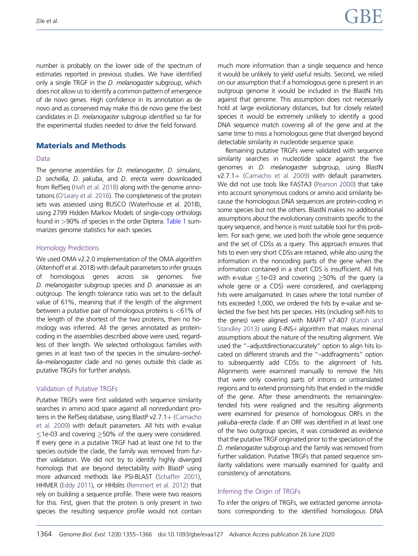number is probably on the lower side of the spectrum of estimates reported in previous studies. We have identified only a single TRGF in the *D. melanogaster* subgroup, which does not allow us to identify a common pattern of emergence of de novo genes. High confidence in its annotation as de novo and as conserved may make this de novo gene the best candidates in D. melanogaster subgroup identified so far for the experimental studies needed to drive the field forward.

## Materials and Methods

#### Data

The genome assemblies for D. melanogaster, D. simulans, D. sechellia, D. yakuba, and D. erecta were downloaded from RefSeq [\(Haft et al. 2018\)](#page-10-0) along with the genome annotations ([O'Leary et al. 2016\)](#page-11-0). The completeness of the protein sets was assessed using BUSCO (Waterhouse et al. 2018), using 2799 Hidden Markov Models of single-copy orthologs found in >90% of species in the order Diptera. [Table 1](#page-3-0) summarizes genome statistics for each species.

### Homology Predictions

We used OMA v2.2.0 implementation of the OMA algorithm (Altenhoff et al. 2018) with default parameters to infer groups of homologous genes across six genomes: five D. melanogaster subgroup species and D. ananassae as an outgroup. The length tolerance ratio was set to the default value of 61%, meaning that if the length of the alignment between a putative pair of homologous proteins is <61% of the length of the shortest of the two proteins, then no homology was inferred. All the genes annotated as proteincoding in the assemblies described above were used, regardless of their length. We selected orthologous families with genes in at least two of the species in the simulans–sechellia-melanogaster clade and no genes outside this clade as putative TRGFs for further analysis.

## Validation of Putative TRGFs

Putative TRGFs were first validated with sequence similarity searches in amino acid space against all nonredundant pro-teins in the RefSeq database, using BlastP v2.7.1+ [\(Camacho](#page-10-0) [et al. 2009\)](#page-10-0) with default parameters. All hits with e-value  $\le$ 1e-03 and covering  $\ge$  50% of the query were considered. If every gene in a putative TRGF had at least one hit to the species outside the clade, the family was removed from further validation. We did not try to identify highly diverged homologs that are beyond detectability with BlastP using more advanced methods like PSI-BLAST ([Schaffer 2001](#page-11-0)), HHMER ([Eddy 2011](#page-10-0)), or HHblits [\(Remmert et al. 2012\)](#page-11-0) that rely on building a sequence profile. There were two reasons for this. First, given that the protein is only present in two species the resulting sequence profile would not contain much more information than a single sequence and hence it would be unlikely to yield useful results. Second, we relied on our assumption that if a homologous gene is present in an outgroup genome it would be included in the BlastN hits against that genome. This assumption does not necessarily hold at large evolutionary distances, but for closely related species it would be extremely unlikely to identify a good DNA sequence match covering all of the gene and at the same time to miss a homologous gene that diverged beyond detectable similarity in nucleotide sequence space.

Remaining putative TRGFs were validated with sequence similarity searches in nucleotide space against the five genomes in D. melanogaster subgroup, using BlastN  $v2.7.1+$  [\(Camacho et al. 2009](#page-10-0)) with default parameters. We did not use tools like FASTA3 [\(Pearson 2000](#page-11-0)) that take into account synonymous codons or amino acid similarity because the homologous DNA sequences are protein-coding in some species but not the others. BlastN makes no additional assumptions about the evolutionary constraints specific to the query sequence, and hence is most suitable tool for this problem. For each gene, we used both the whole gene sequence and the set of CDSs as a query. This approach ensures that hits to even very short CDSs are retained, while also using the information in the noncoding parts of the gene when the information contained in a short CDS is insufficient. All hits with e-value  $\le$ 1e-03 and covering  $>$ 50% of the query (a whole gene or a CDS) were considered, and overlapping hits were amalgamated. In cases where the total number of hits exceeded 1,000, we ordered the hits by e-value and selected the five best hits per species. Hits (including self-hits to the genes) were aligned with MAFFT v7.407 [\(Katoh and](#page-11-0) [Standley 2013\)](#page-11-0) using E-INS-i algorithm that makes minimal assumptions about the nature of the resulting alignment. We used the "–adjustdirectionaccurately" option to align hits located on different strands and the "–addfragments" option to subsequently add CDSs to the alignment of hits. Alignments were examined manually to remove the hits that were only covering parts of introns or untranslated regions and to extend promising hits that ended in the middle of the gene. After these amendments the remaining/extended hits were realigned and the resulting alignments were examined for presence of homologous ORFs in the yakuba–erecta clade. If an ORF was identified in at least one of the two outgroup species, it was considered as evidence that the putative TRGF originated prior to the speciation of the D. melanogaster subgroup and the family was removed from further validation. Putative TRGFs that passed sequence similarity validations were manually examined for quality and consistency of annotations.

## Inferring the Origin of TRGFs

To infer the origins of TRGFs, we extracted genome annotations corresponding to the identified homologous DNA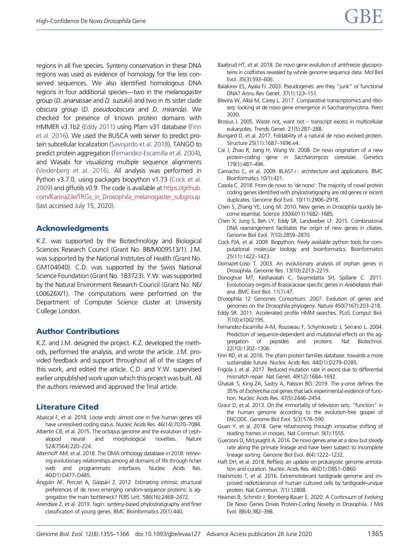<span id="page-10-0"></span>regions in all five species. Synteny conservation in these DNA regions was used as evidence of homology for the less conserved sequences. We also identified homologous DNA regions in four additional species—two in the melanogaster group (D. ananassae and D. suzukii) and two in its sister clade obscura group (D. pseudoobscura and D. miranda). We checked for presence of known protein domains with HMMER v3.1b2 (Eddy 2011) using Pfam v31 database (Finn et al. 2016). We used the BUSCA web server to predict protein subcellular localization ([Savojardo et al. 2018\)](#page-11-0), TANGO to predict protein aggregation (Fernandez-Escamilla et al. 2004), and Wasabi for visualizing multiple sequence alignments [\(Veidenberg et al. 2016\).](#page-11-0) All analysis was performed in Python v3.7.0, using packages biopython v1.73 (Cock et al. 2009) and gffutils v0.9. The code is available at [https://github.](https://github.com/KarinaZile/TRGs_in_Drosophila_melanogaster_subgroup) [com/KarinaZile/TRGs\\_in\\_Drosophila\\_melanogaster\\_subgroup](https://github.com/KarinaZile/TRGs_in_Drosophila_melanogaster_subgroup) (last accessed July 15, 2020).

## Acknowledgments

K.Z. was supported by the Biotechnology and Biological Sciences Research Council (Grant No. BB/M009513/1). J.M. was supported by the National Institutes of Health (Grant No. GM104040). C.D. was supported by the Swiss National Science Foundation (Grant No. 183723). Y.W. was supported by the Natural Environment Research Council (Grant No. NE/ L00626X/1). The computations were performed on the Department of Computer Science cluster at University College London.

## Author Contributions

K.Z. and J.M. designed the project. K.Z. developed the methods, performed the analysis, and wrote the article. J.M. provided feedback and support throughout all of the stages of this work, and edited the article. C.D. and Y.W. supervised earlier unpublished work upon which this project was built. All the authors reviewed and approved the final article.

## Literature Cited

- Abascal F, et al. 2018. Loose ends: almost one in five human genes still have unresolved coding status. Nucleic Acids Res. 46(14):7070–7084.
- Albertin CB, et al. 2015. The octopus genome and the evolution of cephalopod neural and morphological novelties. Nature 524(7564):220–224.
- Altenhoff AM, et al. 2018. The OMA orthology database in 2018: retrieving evolutionary relationships among all domains of life through richer web and programmatic interfaces. Nucleic Acids Res. 46(D1):D477–D485.
- Ángyán AF, Perczel A, Gáspári Z. 2012. Estimating intrinsic structural preferences of de novo emerging random-sequence proteins: is aggregation the main bottleneck? FEBS Lett. 586(16):2468–2472.
- Arendsee Z, et al. 2019. fagin: synteny-based phylostratigraphy and finer classification of young genes. BMC Bioinformatics 20(1):440.
- Baalsrud HT, et al. 2018. De novo gene evolution of antifreeze glycoproteins in codfishes revealed by whole genome sequence data. Mol Biol Evol. 35(3):593–606.
- Balakirev ES, Ayala FJ. 2003. Pseudogenes: are they "junk" or functional DNA? Annu Rev Genet. 37(1):123–151.
- Blevins W, Albà M, Carey L. 2017. Comparative transcriptomics and riboseq: looking at de novo gene emergence in Saccharomycotina. PeerJ 3030.
- Brosius J. 2005. Waste not, want not transcript excess in multicellular eukaryotes. Trends Genet. 21(5):287–288.
- Bungard D, et al. 2017. Foldability of a natural de novo evolved protein. Structure 25(11):1687–1696.e4.
- Cai J, Zhao R, Jiang H, Wang W. 2008. De novo origination of a new protein-coding gene in Saccharomyces cerevisiae. Genetics 179(1):487–496.
- Camacho C, et al. 2009. BLAST $+$ : architecture and applications. BMC Bioinformatics 10(1):421.
- Casola C. 2018. From de novo to 'de nono': The majority of novel protein coding genes identified with phylostratigraphy are old genes or recent duplicates. Genome Biol Evol. 10(11):2906–2918.
- Chen S, Zhang YE, Long M. 2010. New genes in Drosophila quickly become essential. Science 330(6011):1682–1685.
- Chen X, Jung S, Beh LY, Eddy SR, Landweber LF. 2015. Combinatorial DNA rearrangement facilitates the origin of new genes in ciliates. Genome Biol Evol. 7(10):2859–2870.
- Cock PJA, et al. 2009. Biopython: freely available python tools for computational molecular biology and bioinformatics. Bioinformatics 25(11):1422–1423.
- Domazet-Loso T. 2003. An evolutionary analysis of orphan genes in Drosophila. Genome Res. 13(10):2213–2219.
- Donoghue MT, Keshavaiah C, Swamidatta SH, Spillane C. 2011. Evolutionary origins of Brassicaceae specific genes in Arabidopsis thaliana. BMC Evol Biol. 11(1):47.
- Drosophila 12 Genomes Consortium. 2007. Evolution of genes and genomes on the Drosophila phylogeny. Nature 450(7167):203–218.
- Eddy SR. 2011. Accelerated profile HMM searches. PLoS Comput Biol. 7(10):e1002195.
- Fernandez-Escamilla A-M, Rousseau F, Schymkowitz J, Serrano L. 2004. Prediction of sequence-dependent and mutational effects on the aggregation of peptides and proteins. Nat Biotechnol. 22(10):1302–1306.
- Finn RD, et al. 2016. The pfam protein families database: towards a more sustainable future. Nucleic Acids Res. 44(D1):D279–D285.
- Frigola J, et al. 2017. Reduced mutation rate in exons due to differential mismatch repair. Nat Genet. 49(12):1684–1692.
- Ghatak S, King ZA, Sastry A, Palsson BO. 2019. The y-ome defines the 35% of Escherichia coli genes that lack experimental evidence of function. Nucleic Acids Res. 47(5):2446–2454.
- Graur D, et al. 2013. On the immortality of television sets: "function" in the human genome according to the evolution-free gospel of ENCODE. Genome Biol Evol. 5(3):578–590.
- Guan Y, et al. 2018. Gene refashioning through innovative shifting of reading frames in mosses. Nat Commun. 9(1):1555.
- Guerzoni D, McLysaght A. 2016. De novo genes arise at a slow but steady rate along the primate lineage and have been subject to incomplete lineage sorting. Genome Biol Evol. 8(4):1222–1232.
- Haft DH, et al. 2018. RefSeq: an update on prokaryotic genome annotation and curation. Nucleic Acids Res. 46(D1):D851–D860.
- Hashimoto T, et al. 2016. Extremotolerant tardigrade genome and improved radiotolerance of human cultured cells by tardigrade-unique protein. Nat Commun. 7(1):12808.
- Heames B, Schmitz J, Bornberg-Bauer E. 2020. A Continuum of Evolving De Novo Genes Drives Protein-Coding Novelty in Drosophila. J Mol Evol. 88(4):382–398.